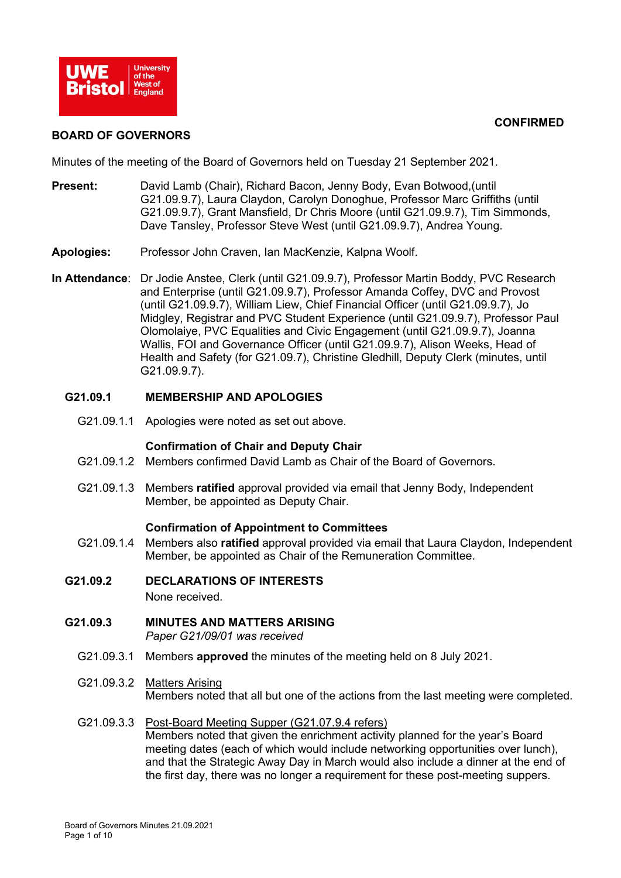

#### **CONFIRMED**

#### **BOARD OF GOVERNORS**

Minutes of the meeting of the Board of Governors held on Tuesday 21 September 2021.

- **Present:** David Lamb (Chair), Richard Bacon, Jenny Body, Evan Botwood,(until G21.09.9.7), Laura Claydon, Carolyn Donoghue, Professor Marc Griffiths (until G21.09.9.7), Grant Mansfield, Dr Chris Moore (until G21.09.9.7), Tim Simmonds, Dave Tansley, Professor Steve West (until G21.09.9.7), Andrea Young.
- **Apologies:** Professor John Craven, Ian MacKenzie, Kalpna Woolf.
- **In Attendance**: Dr Jodie Anstee, Clerk (until G21.09.9.7), Professor Martin Boddy, PVC Research and Enterprise (until G21.09.9.7), Professor Amanda Coffey, DVC and Provost (until G21.09.9.7), William Liew, Chief Financial Officer (until G21.09.9.7), Jo Midgley, Registrar and PVC Student Experience (until G21.09.9.7), Professor Paul Olomolaiye, PVC Equalities and Civic Engagement (until G21.09.9.7), Joanna Wallis, FOI and Governance Officer (until G21.09.9.7), Alison Weeks, Head of Health and Safety (for G21.09.7), Christine Gledhill, Deputy Clerk (minutes, until G21.09.9.7).

#### **G21.09.1 MEMBERSHIP AND APOLOGIES**

G21.09.1.1 Apologies were noted as set out above.

#### **Confirmation of Chair and Deputy Chair**

- G21.09.1.2 Members confirmed David Lamb as Chair of the Board of Governors.
- G21.09.1.3 Members **ratified** approval provided via email that Jenny Body, Independent Member, be appointed as Deputy Chair.

#### **Confirmation of Appointment to Committees**

- G21.09.1.4 Members also **ratified** approval provided via email that Laura Claydon, Independent Member, be appointed as Chair of the Remuneration Committee.
- **G21.09.2 DECLARATIONS OF INTERESTS**

None received.

**G21.09.3 MINUTES AND MATTERS ARISING**

*Paper G21/09/01 was received*

- G21.09.3.1 Members **approved** the minutes of the meeting held on 8 July 2021.
- G21.09.3.2 Matters Arising Members noted that all but one of the actions from the last meeting were completed.
- G21.09.3.3 Post-Board Meeting Supper (G21.07.9.4 refers) Members noted that given the enrichment activity planned for the year's Board meeting dates (each of which would include networking opportunities over lunch), and that the Strategic Away Day in March would also include a dinner at the end of the first day, there was no longer a requirement for these post-meeting suppers.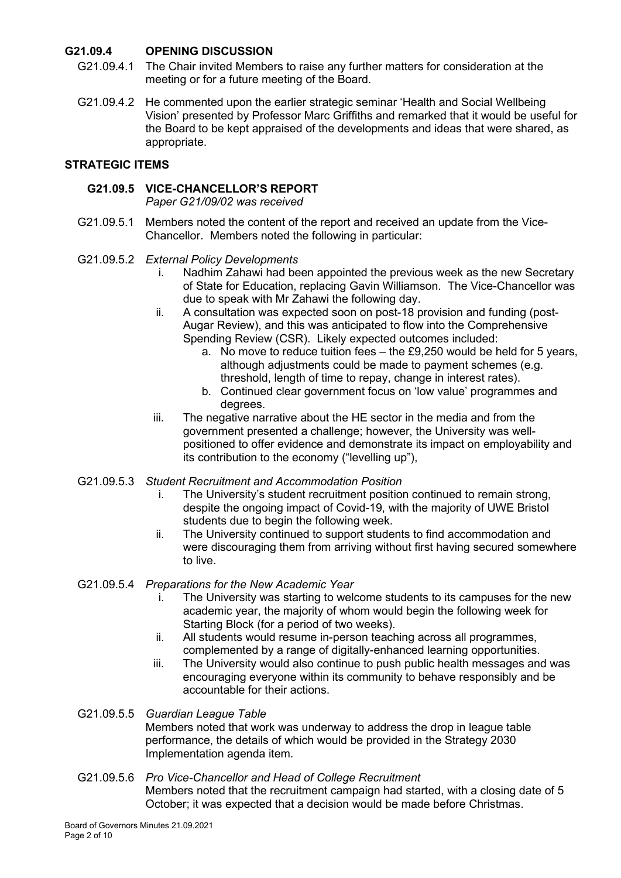## **G21.09.4 OPENING DISCUSSION**

- G21.09.4.1 The Chair invited Members to raise any further matters for consideration at the meeting or for a future meeting of the Board.
- G21.09.4.2 He commented upon the earlier strategic seminar 'Health and Social Wellbeing Vision' presented by Professor Marc Griffiths and remarked that it would be useful for the Board to be kept appraised of the developments and ideas that were shared, as appropriate.

### **STRATEGIC ITEMS**

### **G21.09.5 VICE-CHANCELLOR'S REPORT**

*Paper G21/09/02 was received*

- G21.09.5.1 Members noted the content of the report and received an update from the Vice-Chancellor. Members noted the following in particular:
- G21.09.5.2 *External Policy Developments*
	- i. Nadhim Zahawi had been appointed the previous week as the new Secretary of State for Education, replacing Gavin Williamson. The Vice-Chancellor was due to speak with Mr Zahawi the following day.
	- ii. A consultation was expected soon on post-18 provision and funding (post-Augar Review), and this was anticipated to flow into the Comprehensive Spending Review (CSR). Likely expected outcomes included:
		- a. No move to reduce tuition fees the £9,250 would be held for 5 years, although adjustments could be made to payment schemes (e.g. threshold, length of time to repay, change in interest rates).
		- b. Continued clear government focus on 'low value' programmes and degrees.
	- iii. The negative narrative about the HE sector in the media and from the government presented a challenge; however, the University was wellpositioned to offer evidence and demonstrate its impact on employability and its contribution to the economy ("levelling up"),
- G21.09.5.3 *Student Recruitment and Accommodation Position*
	- i. The University's student recruitment position continued to remain strong, despite the ongoing impact of Covid-19, with the majority of UWE Bristol students due to begin the following week.
	- ii. The University continued to support students to find accommodation and were discouraging them from arriving without first having secured somewhere to live.
- G21.09.5.4 *Preparations for the New Academic Year*
	- i. The University was starting to welcome students to its campuses for the new academic year, the majority of whom would begin the following week for Starting Block (for a period of two weeks).
	- ii. All students would resume in-person teaching across all programmes, complemented by a range of digitally-enhanced learning opportunities.
	- iii. The University would also continue to push public health messages and was encouraging everyone within its community to behave responsibly and be accountable for their actions.

G21.09.5.5 *Guardian League Table* Members noted that work was underway to address the drop in league table performance, the details of which would be provided in the Strategy 2030 Implementation agenda item.

G21.09.5.6 *Pro Vice-Chancellor and Head of College Recruitment* Members noted that the recruitment campaign had started, with a closing date of 5 October; it was expected that a decision would be made before Christmas.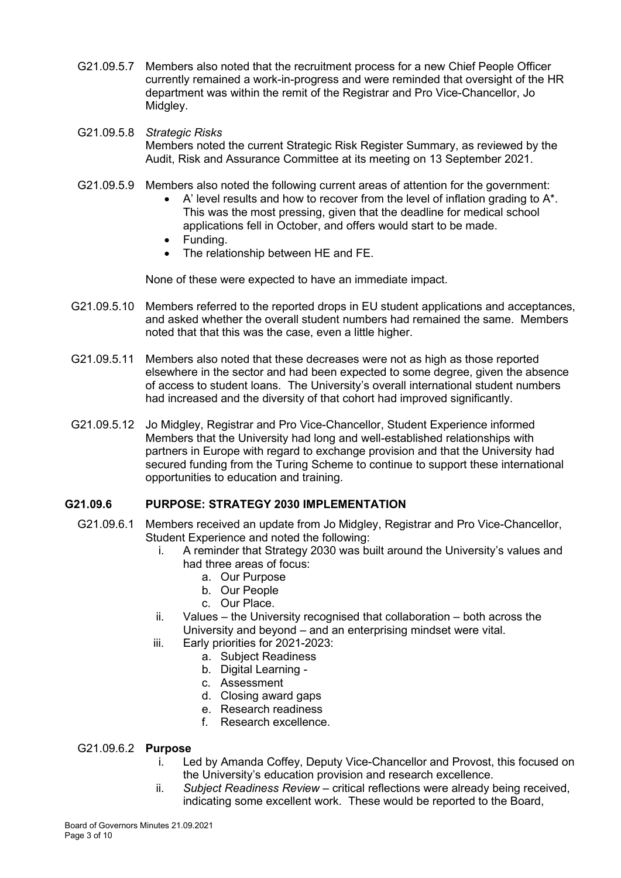- G21.09.5.7 Members also noted that the recruitment process for a new Chief People Officer currently remained a work-in-progress and were reminded that oversight of the HR department was within the remit of the Registrar and Pro Vice-Chancellor, Jo Midgley.
- G21.09.5.8 *Strategic Risks* Members noted the current Strategic Risk Register Summary, as reviewed by the Audit, Risk and Assurance Committee at its meeting on 13 September 2021.
- G21.09.5.9 Members also noted the following current areas of attention for the government:
	- $A'$  level results and how to recover from the level of inflation grading to  $A^*$ . This was the most pressing, given that the deadline for medical school applications fell in October, and offers would start to be made.
	- Funding.
	- The relationship between HE and FE.

None of these were expected to have an immediate impact.

- G21.09.5.10 Members referred to the reported drops in EU student applications and acceptances, and asked whether the overall student numbers had remained the same. Members noted that that this was the case, even a little higher.
- G21.09.5.11 Members also noted that these decreases were not as high as those reported elsewhere in the sector and had been expected to some degree, given the absence of access to student loans. The University's overall international student numbers had increased and the diversity of that cohort had improved significantly.
- G21.09.5.12 Jo Midgley, Registrar and Pro Vice-Chancellor, Student Experience informed Members that the University had long and well-established relationships with partners in Europe with regard to exchange provision and that the University had secured funding from the Turing Scheme to continue to support these international opportunities to education and training.

#### **G21.09.6 PURPOSE: STRATEGY 2030 IMPLEMENTATION**

- G21.09.6.1 Members received an update from Jo Midgley, Registrar and Pro Vice-Chancellor, Student Experience and noted the following:
	- i. A reminder that Strategy 2030 was built around the University's values and had three areas of focus:
		- a. Our Purpose
		- b. Our People
		- c. Our Place.
	- ii. Values the University recognised that collaboration both across the University and beyond – and an enterprising mindset were vital.
	- iii. Early priorities for 2021-2023:
		- a. Subject Readiness
		- b. Digital Learning -
		- c. Assessment
		- d. Closing award gaps
		- e. Research readiness
		- f. Research excellence.

#### G21.09.6.2 **Purpose**

- i. Led by Amanda Coffey, Deputy Vice-Chancellor and Provost, this focused on the University's education provision and research excellence.
- ii. *Subject Readiness Review* critical reflections were already being received, indicating some excellent work. These would be reported to the Board,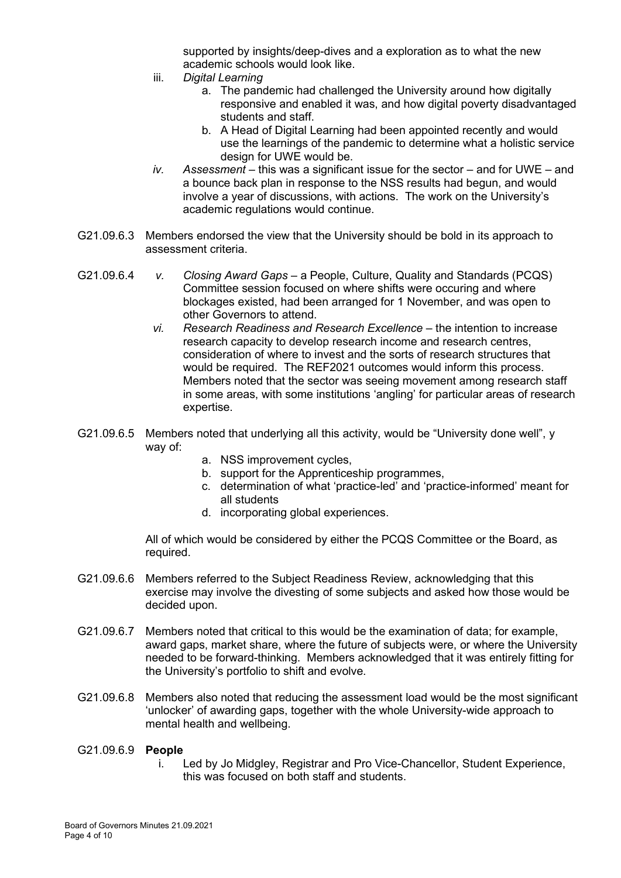supported by insights/deep-dives and a exploration as to what the new academic schools would look like.

- iii. *Digital Learning*
	- a. The pandemic had challenged the University around how digitally responsive and enabled it was, and how digital poverty disadvantaged students and staff.
	- b. A Head of Digital Learning had been appointed recently and would use the learnings of the pandemic to determine what a holistic service design for UWE would be.
- *iv. Assessment* this was a significant issue for the sector and for UWE and a bounce back plan in response to the NSS results had begun, and would involve a year of discussions, with actions. The work on the University's academic regulations would continue.
- G21.09.6.3 Members endorsed the view that the University should be bold in its approach to assessment criteria.
- G21.09.6.4 *v. Closing Award Gaps*  a People, Culture, Quality and Standards (PCQS) Committee session focused on where shifts were occuring and where blockages existed, had been arranged for 1 November, and was open to other Governors to attend.
	- *vi. Research Readiness and Research Excellence*  the intention to increase research capacity to develop research income and research centres, consideration of where to invest and the sorts of research structures that would be required. The REF2021 outcomes would inform this process. Members noted that the sector was seeing movement among research staff in some areas, with some institutions 'angling' for particular areas of research expertise.
- G21.09.6.5 Members noted that underlying all this activity, would be "University done well", y way of:
	- a. NSS improvement cycles,
	- b. support for the Apprenticeship programmes,
	- c. determination of what 'practice-led' and 'practice-informed' meant for all students
	- d. incorporating global experiences.

All of which would be considered by either the PCQS Committee or the Board, as required.

- G21.09.6.6 Members referred to the Subject Readiness Review, acknowledging that this exercise may involve the divesting of some subjects and asked how those would be decided upon.
- G21.09.6.7 Members noted that critical to this would be the examination of data; for example, award gaps, market share, where the future of subjects were, or where the University needed to be forward-thinking. Members acknowledged that it was entirely fitting for the University's portfolio to shift and evolve.
- G21.09.6.8 Members also noted that reducing the assessment load would be the most significant 'unlocker' of awarding gaps, together with the whole University-wide approach to mental health and wellbeing.
- G21.09.6.9 **People**
	- i. Led by Jo Midgley, Registrar and Pro Vice-Chancellor, Student Experience, this was focused on both staff and students.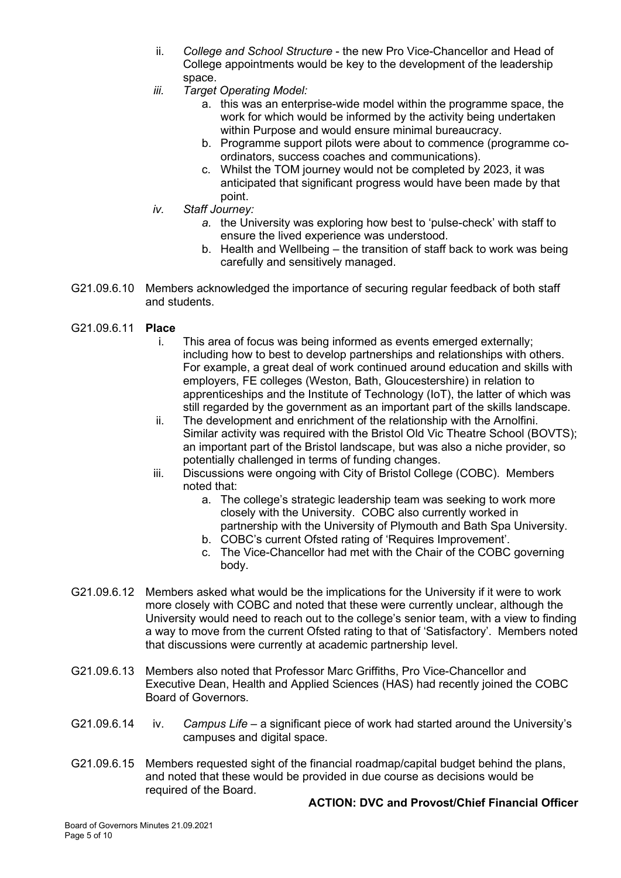- ii. *College and School Structure* the new Pro Vice-Chancellor and Head of College appointments would be key to the development of the leadership space.
- *iii. Target Operating Model:*
	- a. this was an enterprise-wide model within the programme space, the work for which would be informed by the activity being undertaken within Purpose and would ensure minimal bureaucracy.
	- b. Programme support pilots were about to commence (programme coordinators, success coaches and communications).
	- c. Whilst the TOM journey would not be completed by 2023, it was anticipated that significant progress would have been made by that point.
- *iv. Staff Journey:*
	- *a.* the University was exploring how best to 'pulse-check' with staff to ensure the lived experience was understood.
	- b. Health and Wellbeing the transition of staff back to work was being carefully and sensitively managed.
- G21.09.6.10 Members acknowledged the importance of securing regular feedback of both staff and students.
- G21.09.6.11 **Place**
	- i. This area of focus was being informed as events emerged externally; including how to best to develop partnerships and relationships with others. For example, a great deal of work continued around education and skills with employers, FE colleges (Weston, Bath, Gloucestershire) in relation to apprenticeships and the Institute of Technology (IoT), the latter of which was still regarded by the government as an important part of the skills landscape.
	- ii. The development and enrichment of the relationship with the Arnolfini. Similar activity was required with the Bristol Old Vic Theatre School (BOVTS); an important part of the Bristol landscape, but was also a niche provider, so potentially challenged in terms of funding changes.
	- iii. Discussions were ongoing with City of Bristol College (COBC). Members noted that:
		- a. The college's strategic leadership team was seeking to work more closely with the University. COBC also currently worked in partnership with the University of Plymouth and Bath Spa University.
		- b. COBC's current Ofsted rating of 'Requires Improvement'.
		- c. The Vice-Chancellor had met with the Chair of the COBC governing body.
- G21.09.6.12 Members asked what would be the implications for the University if it were to work more closely with COBC and noted that these were currently unclear, although the University would need to reach out to the college's senior team, with a view to finding a way to move from the current Ofsted rating to that of 'Satisfactory'. Members noted that discussions were currently at academic partnership level.
- G21.09.6.13 Members also noted that Professor Marc Griffiths, Pro Vice-Chancellor and Executive Dean, Health and Applied Sciences (HAS) had recently joined the COBC Board of Governors.
- G21.09.6.14 iv. *Campus Life* a significant piece of work had started around the University's campuses and digital space.
- G21.09.6.15 Members requested sight of the financial roadmap/capital budget behind the plans, and noted that these would be provided in due course as decisions would be required of the Board.

#### **ACTION: DVC and Provost/Chief Financial Officer**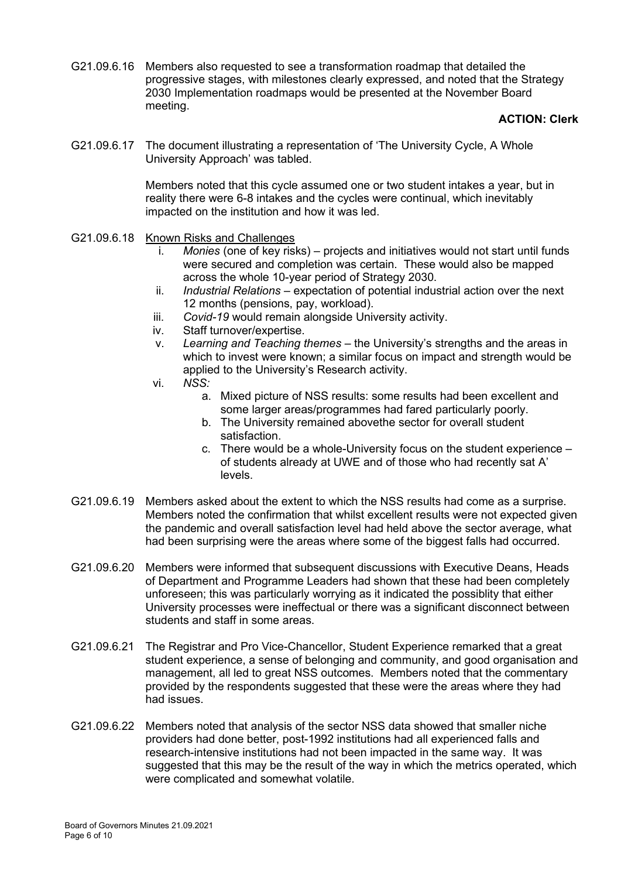G21.09.6.16 Members also requested to see a transformation roadmap that detailed the progressive stages, with milestones clearly expressed, and noted that the Strategy 2030 Implementation roadmaps would be presented at the November Board meeting.

#### **ACTION: Clerk**

G21.09.6.17 The document illustrating a representation of 'The University Cycle, A Whole University Approach' was tabled.

> Members noted that this cycle assumed one or two student intakes a year, but in reality there were 6-8 intakes and the cycles were continual, which inevitably impacted on the institution and how it was led.

- G21.09.6.18 Known Risks and Challenges
	- i. *Monies* (one of key risks) projects and initiatives would not start until funds were secured and completion was certain. These would also be mapped across the whole 10-year period of Strategy 2030.
	- ii. *Industrial Relations* expectation of potential industrial action over the next 12 months (pensions, pay, workload).
	- iii. *Covid-19* would remain alongside University activity.
	- iv. Staff turnover/expertise.
	- v. *Learning and Teaching themes* the University's strengths and the areas in which to invest were known; a similar focus on impact and strength would be applied to the University's Research activity.
	- vi. *NSS:*
		- a. Mixed picture of NSS results: some results had been excellent and some larger areas/programmes had fared particularly poorly.
		- b. The University remained abovethe sector for overall student satisfaction.
		- c. There would be a whole-University focus on the student experience of students already at UWE and of those who had recently sat A' levels.
- G21.09.6.19 Members asked about the extent to which the NSS results had come as a surprise. Members noted the confirmation that whilst excellent results were not expected given the pandemic and overall satisfaction level had held above the sector average, what had been surprising were the areas where some of the biggest falls had occurred.
- G21.09.6.20 Members were informed that subsequent discussions with Executive Deans, Heads of Department and Programme Leaders had shown that these had been completely unforeseen; this was particularly worrying as it indicated the possiblity that either University processes were ineffectual or there was a significant disconnect between students and staff in some areas.
- G21.09.6.21 The Registrar and Pro Vice-Chancellor, Student Experience remarked that a great student experience, a sense of belonging and community, and good organisation and management, all led to great NSS outcomes. Members noted that the commentary provided by the respondents suggested that these were the areas where they had had issues.
- G21.09.6.22 Members noted that analysis of the sector NSS data showed that smaller niche providers had done better, post-1992 institutions had all experienced falls and research-intensive institutions had not been impacted in the same way. It was suggested that this may be the result of the way in which the metrics operated, which were complicated and somewhat volatile.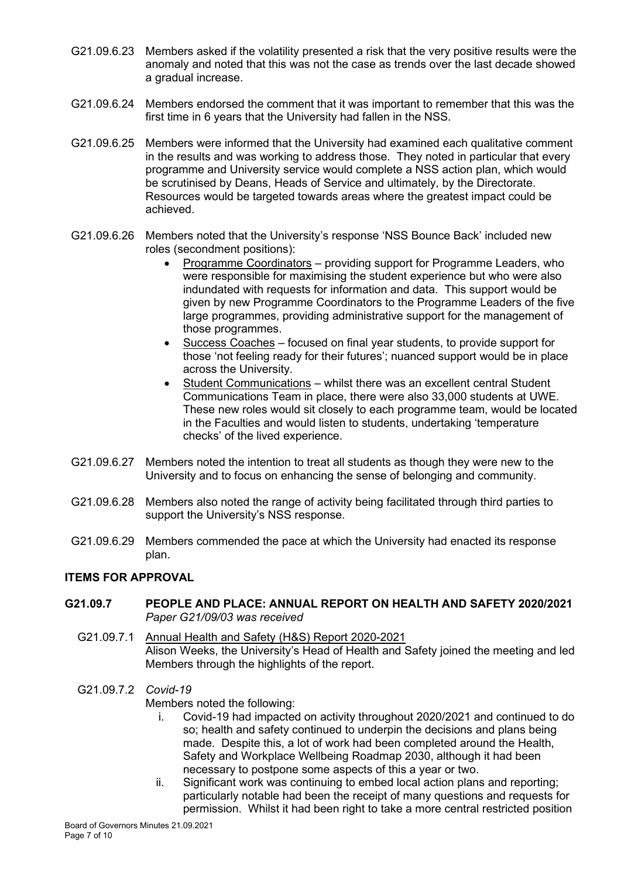- G21.09.6.23 Members asked if the volatility presented a risk that the very positive results were the anomaly and noted that this was not the case as trends over the last decade showed a gradual increase.
- G21.09.6.24 Members endorsed the comment that it was important to remember that this was the first time in 6 years that the University had fallen in the NSS.
- G21.09.6.25 Members were informed that the University had examined each qualitative comment in the results and was working to address those. They noted in particular that every programme and University service would complete a NSS action plan, which would be scrutinised by Deans, Heads of Service and ultimately, by the Directorate. Resources would be targeted towards areas where the greatest impact could be achieved.
- G21.09.6.26 Members noted that the University's response 'NSS Bounce Back' included new roles (secondment positions):
	- Programme Coordinators providing support for Programme Leaders, who were responsible for maximising the student experience but who were also indundated with requests for information and data. This support would be given by new Programme Coordinators to the Programme Leaders of the five large programmes, providing administrative support for the management of those programmes.
	- Success Coaches focused on final year students, to provide support for those 'not feeling ready for their futures'; nuanced support would be in place across the University.
	- Student Communications whilst there was an excellent central Student Communications Team in place, there were also 33,000 students at UWE. These new roles would sit closely to each programme team, would be located in the Faculties and would listen to students, undertaking 'temperature checks' of the lived experience.
- G21.09.6.27 Members noted the intention to treat all students as though they were new to the University and to focus on enhancing the sense of belonging and community.
- G21.09.6.28 Members also noted the range of activity being facilitated through third parties to support the University's NSS response.
- G21.09.6.29 Members commended the pace at which the University had enacted its response plan.

### **ITEMS FOR APPROVAL**

- **G21.09.7 PEOPLE AND PLACE: ANNUAL REPORT ON HEALTH AND SAFETY 2020/2021** *Paper G21/09/03 was received*
	- G21.09.7.1 Annual Health and Safety (H&S) Report 2020-2021 Alison Weeks, the University's Head of Health and Safety joined the meeting and led Members through the highlights of the report.
	- G21.09.7.2 *Covid-19* Members noted the following:
		- i. Covid-19 had impacted on activity throughout 2020/2021 and continued to do so; health and safety continued to underpin the decisions and plans being made. Despite this, a lot of work had been completed around the Health, Safety and Workplace Wellbeing Roadmap 2030, although it had been necessary to postpone some aspects of this a year or two.
		- ii. Significant work was continuing to embed local action plans and reporting; particularly notable had been the receipt of many questions and requests for permission. Whilst it had been right to take a more central restricted position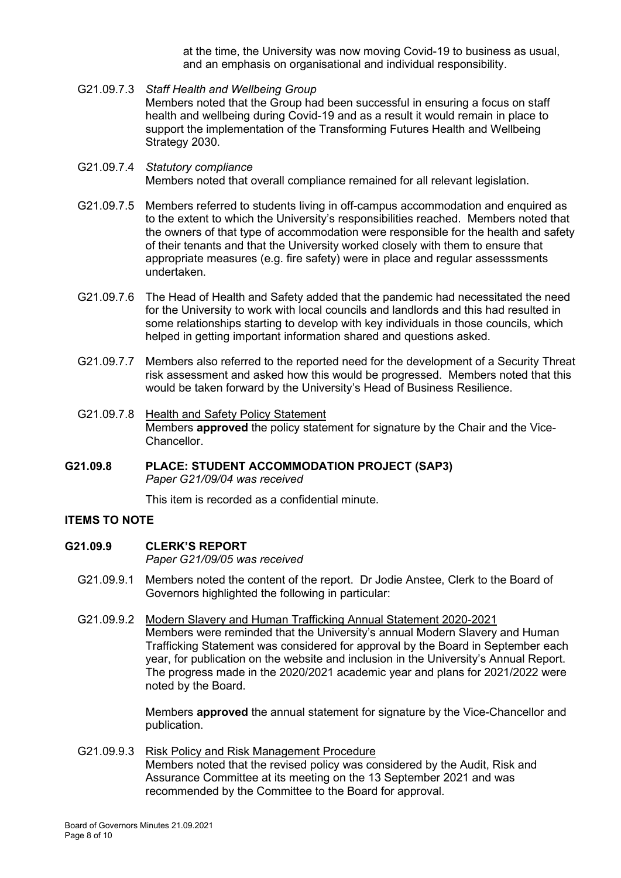at the time, the University was now moving Covid-19 to business as usual, and an emphasis on organisational and individual responsibility.

- G21.09.7.3 *Staff Health and Wellbeing Group* Members noted that the Group had been successful in ensuring a focus on staff health and wellbeing during Covid-19 and as a result it would remain in place to support the implementation of the Transforming Futures Health and Wellbeing Strategy 2030.
- G21.09.7.4 *Statutory compliance* Members noted that overall compliance remained for all relevant legislation.
- G21.09.7.5 Members referred to students living in off-campus accommodation and enquired as to the extent to which the University's responsibilities reached. Members noted that the owners of that type of accommodation were responsible for the health and safety of their tenants and that the University worked closely with them to ensure that appropriate measures (e.g. fire safety) were in place and regular assesssments undertaken.
- G21.09.7.6 The Head of Health and Safety added that the pandemic had necessitated the need for the University to work with local councils and landlords and this had resulted in some relationships starting to develop with key individuals in those councils, which helped in getting important information shared and questions asked.
- G21.09.7.7 Members also referred to the reported need for the development of a Security Threat risk assessment and asked how this would be progressed. Members noted that this would be taken forward by the University's Head of Business Resilience.
- G21.09.7.8 Health and Safety Policy Statement Members **approved** the policy statement for signature by the Chair and the Vice-Chancellor.
- **G21.09.8 PLACE: STUDENT ACCOMMODATION PROJECT (SAP3)** *Paper G21/09/04 was received*

This item is recorded as a confidential minute.

#### **ITEMS TO NOTE**

# **G21.09.9 CLERK'S REPORT**

*Paper G21/09/05 was received* 

- G21.09.9.1 Members noted the content of the report. Dr Jodie Anstee, Clerk to the Board of Governors highlighted the following in particular:
- G21.09.9.2 Modern Slavery and Human Trafficking Annual Statement 2020-2021 Members were reminded that the University's annual Modern Slavery and Human Trafficking Statement was considered for approval by the Board in September each year, for publication on the website and inclusion in the University's Annual Report. The progress made in the 2020/2021 academic year and plans for 2021/2022 were noted by the Board.

Members **approved** the annual statement for signature by the Vice-Chancellor and publication.

G21.09.9.3 Risk Policy and Risk Management Procedure Members noted that the revised policy was considered by the Audit, Risk and Assurance Committee at its meeting on the 13 September 2021 and was recommended by the Committee to the Board for approval.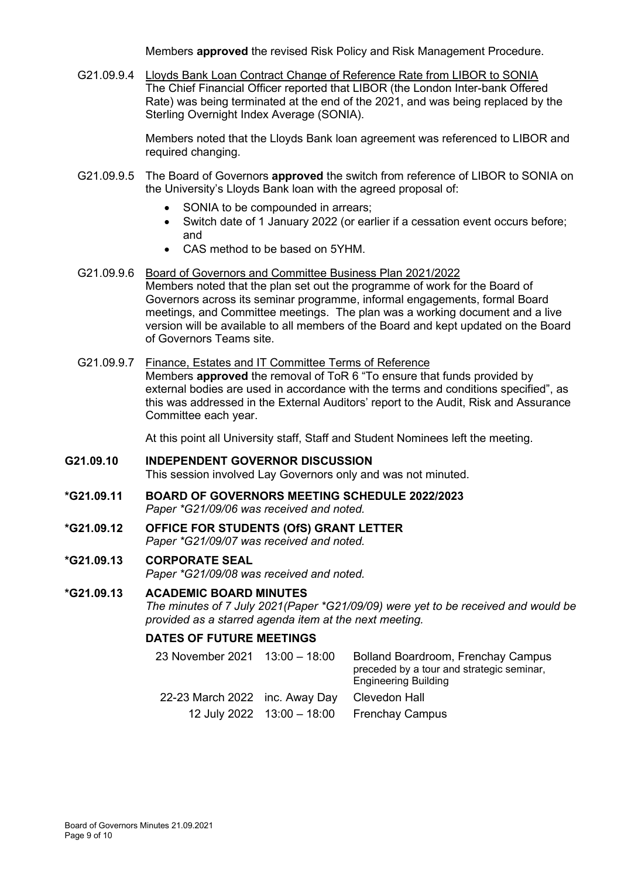Members **approved** the revised Risk Policy and Risk Management Procedure.

G21.09.9.4 Lloyds Bank Loan Contract Change of Reference Rate from LIBOR to SONIA The Chief Financial Officer reported that LIBOR (the London Inter-bank Offered Rate) was being terminated at the end of the 2021, and was being replaced by the Sterling Overnight Index Average (SONIA).

> Members noted that the Lloyds Bank loan agreement was referenced to LIBOR and required changing.

- G21.09.9.5 The Board of Governors **approved** the switch from reference of LIBOR to SONIA on the University's Lloyds Bank loan with the agreed proposal of:
	- SONIA to be compounded in arrears;
	- Switch date of 1 January 2022 (or earlier if a cessation event occurs before; and
	- CAS method to be based on 5YHM.
- G21.09.9.6 Board of Governors and Committee Business Plan 2021/2022 Members noted that the plan set out the programme of work for the Board of Governors across its seminar programme, informal engagements, formal Board meetings, and Committee meetings. The plan was a working document and a live version will be available to all members of the Board and kept updated on the Board of Governors Teams site.
- G21.09.9.7 Finance, Estates and IT Committee Terms of Reference

Members **approved** the removal of ToR 6 "To ensure that funds provided by external bodies are used in accordance with the terms and conditions specified", as this was addressed in the External Auditors' report to the Audit, Risk and Assurance Committee each year.

At this point all University staff, Staff and Student Nominees left the meeting.

# **G21.09.10 INDEPENDENT GOVERNOR DISCUSSION** This session involved Lay Governors only and was not minuted.

- **\*G21.09.11 BOARD OF GOVERNORS MEETING SCHEDULE 2022/2023** *Paper \*G21/09/06 was received and noted.*
- **\*G21.09.12 OFFICE FOR STUDENTS (OfS) GRANT LETTER** *Paper \*G21/09/07 was received and noted.*

# **\*G21.09.13 CORPORATE SEAL**

*Paper \*G21/09/08 was received and noted.*

### **\*G21.09.13 ACADEMIC BOARD MINUTES**

*The minutes of 7 July 2021(Paper \*G21/09/09) were yet to be received and would be provided as a starred agenda item at the next meeting.*

#### **DATES OF FUTURE MEETINGS**

| 23 November 2021 13:00 - 18:00 | <b>Bolland Boardroom, Frenchay Campus</b><br>preceded by a tour and strategic seminar,<br><b>Engineering Building</b> |
|--------------------------------|-----------------------------------------------------------------------------------------------------------------------|
| 22-23 March 2022 inc. Away Day | Clevedon Hall                                                                                                         |
|                                | 12 July 2022 $13:00 - 18:00$ Frenchay Campus                                                                          |